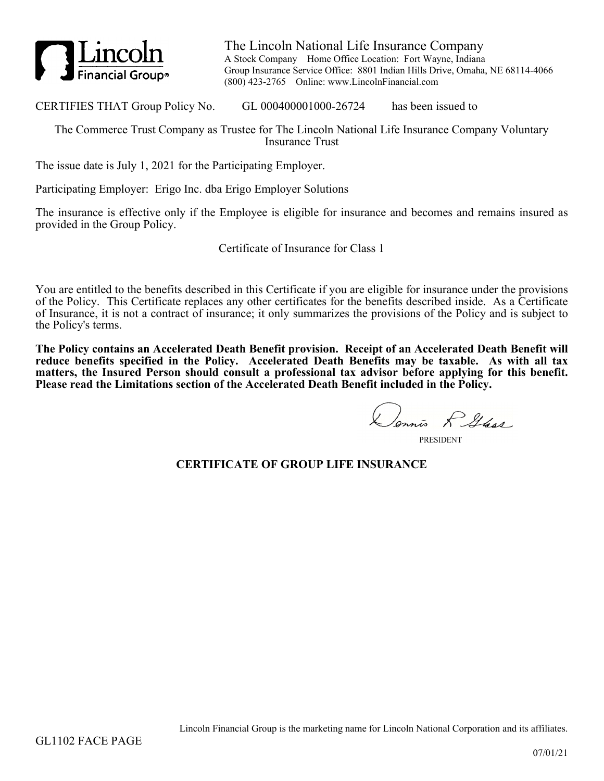

The Lincoln National Life Insurance Company A Stock Company Home Office Location: Fort Wayne, Indiana Group Insurance Service Office: 8801 Indian Hills Drive, Omaha, NE 68114-4066 (800) 423-2765 Online: www.LincolnFinancial.com

CERTIFIES THAT Group Policy No. GL 000400001000-26724 has been issued to

The Commerce Trust Company as Trustee for The Lincoln National Life Insurance Company Voluntary Insurance Trust

The issue date is July 1, 2021 for the Participating Employer.

Participating Employer: Erigo Inc. dba Erigo Employer Solutions

The insurance is effective only if the Employee is eligible for insurance and becomes and remains insured as provided in the Group Policy.

Certificate of Insurance for Class 1

You are entitled to the benefits described in this Certificate if you are eligible for insurance under the provisions of the Policy. This Certificate replaces any other certificates for the benefits described inside. As a Certificate of Insurance, it is not a contract of insurance; it only summarizes the provisions of the Policy and is subject to the Policy's terms.

**The Policy contains an Accelerated Death Benefit provision. Receipt of an Accelerated Death Benefit will reduce benefits specified in the Policy. Accelerated Death Benefits may be taxable. As with all tax matters, the Insured Person should consult a professional tax advisor before applying for this benefit. Please read the Limitations section of the Accelerated Death Benefit included in the Policy.**

Dennis R Glass

**PRESIDENT** 

## **CERTIFICATE OF GROUP LIFE INSURANCE**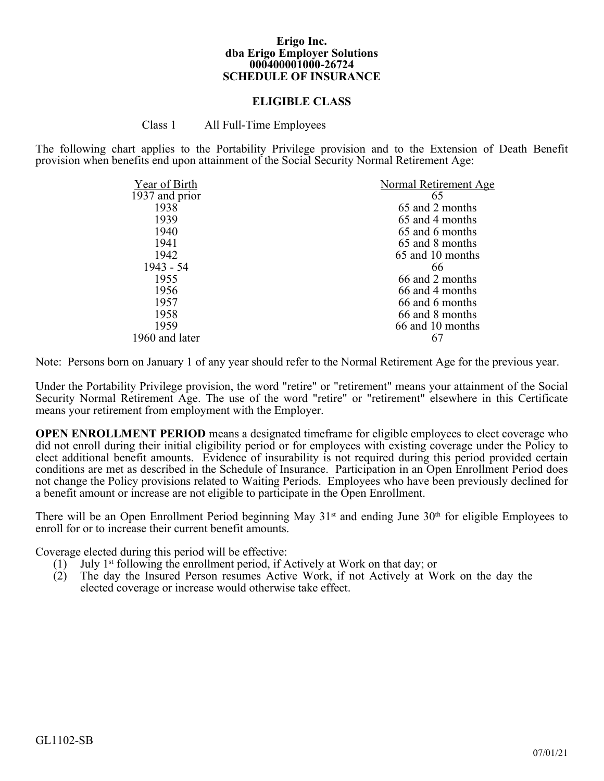#### **Erigo Inc. dba Erigo Employer Solutions 000400001000-26724 SCHEDULE OF INSURANCE**

#### **ELIGIBLE CLASS**

Class 1 All Full-Time Employees

The following chart applies to the Portability Privilege provision and to the Extension of Death Benefit provision when benefits end upon attainment of the Social Security Normal Retirement Age:

| Year of Birth  | Normal Retirement Age |
|----------------|-----------------------|
| 1937 and prior | 65                    |
| 1938           | 65 and 2 months       |
| 1939           | 65 and 4 months       |
| 1940           | 65 and 6 months       |
| 1941           | 65 and 8 months       |
| 1942           | 65 and 10 months      |
| $1943 - 54$    | 66                    |
| 1955           | 66 and 2 months       |
| 1956           | 66 and 4 months       |
| 1957           | 66 and 6 months       |
| 1958           | 66 and 8 months       |
| 1959           | 66 and 10 months      |
| 1960 and later |                       |

Note: Persons born on January 1 of any year should refer to the Normal Retirement Age for the previous year.

Under the Portability Privilege provision, the word "retire" or "retirement" means your attainment of the Social Security Normal Retirement Age. The use of the word "retire" or "retirement" elsewhere in this Certificate means your retirement from employment with the Employer.

**OPEN ENROLLMENT PERIOD** means a designated timeframe for eligible employees to elect coverage who did not enroll during their initial eligibility period or for employees with existing coverage under the Policy to elect additional benefit amounts. Evidence of insurability is not required during this period provided certain conditions are met as described in the Schedule of Insurance. Participation in an Open Enrollment Period does not change the Policy provisions related to Waiting Periods. Employees who have been previously declined for a benefit amount or increase are not eligible to participate in the Open Enrollment.

There will be an Open Enrollment Period beginning May 31<sup>st</sup> and ending June 30<sup>th</sup> for eligible Employees to enroll for or to increase their current benefit amounts.

Coverage elected during this period will be effective:

- (1) July 1<sup>st</sup> following the enrollment period, if Actively at Work on that day; or (2) The day the Insured Person resumes Active Work, if not Actively at W
- The day the Insured Person resumes Active Work, if not Actively at Work on the day the elected coverage or increase would otherwise take effect.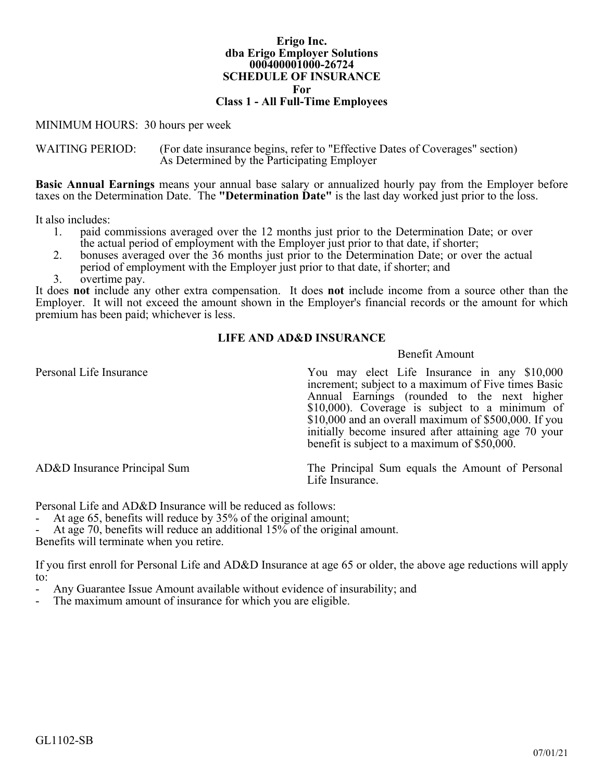#### **Erigo Inc. dba Erigo Employer Solutions 000400001000-26724 SCHEDULE OF INSURANCE For Class 1 - All Full-Time Employees**

MINIMUM HOURS: 30 hours per week

WAITING PERIOD: (For date insurance begins, refer to "Effective Dates of Coverages" section) As Determined by the Participating Employer

**Basic Annual Earnings** means your annual base salary or annualized hourly pay from the Employer before taxes on the Determination Date. The **"Determination Date"** is the last day worked just prior to the loss.

It also includes:

- 1. paid commissions averaged over the 12 months just prior to the Determination Date; or over the actual period of employment with the Employer just prior to that date, if shorter;
- 2. bonuses averaged over the 36 months just prior to the Determination Date; or over the actual period of employment with the Employer just prior to that date, if shorter; and
- 3. overtime pay.

It does **not** include any other extra compensation. It does **not** include income from a source other than the Employer. It will not exceed the amount shown in the Employer's financial records or the amount for which premium has been paid; whichever is less.

### **LIFE AND AD&D INSURANCE**

#### Benefit Amount

Personal Life Insurance You may elect Life Insurance in any \$10,000 increment; subject to a maximum of Five times Basic Annual Earnings (rounded to the next higher \$10,000). Coverage is subject to a minimum of \$10,000 and an overall maximum of \$500,000. If you initially become insured after attaining age 70 your benefit is subject to a maximum of \$50,000.

AD&D Insurance Principal Sum The Principal Sum equals the Amount of Personal Life Insurance.

Personal Life and AD&D Insurance will be reduced as follows:

- At age 65, benefits will reduce by 35% of the original amount;

At age 70, benefits will reduce an additional 15% of the original amount.

Benefits will terminate when you retire.

If you first enroll for Personal Life and AD&D Insurance at age 65 or older, the above age reductions will apply to:

- Any Guarantee Issue Amount available without evidence of insurability; and<br>- The maximum amount of insurance for which you are eligible
- The maximum amount of insurance for which you are eligible.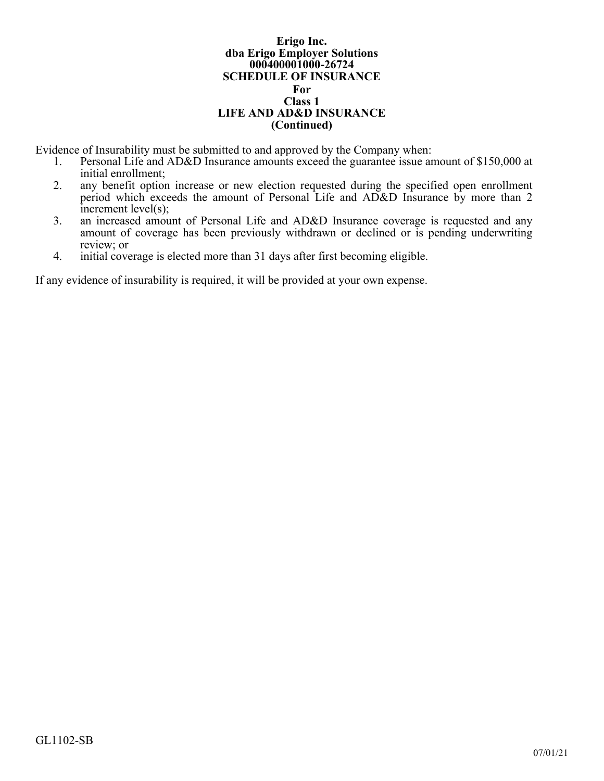#### **Erigo Inc. dba Erigo Employer Solutions 000400001000-26724 SCHEDULE OF INSURANCE For Class 1 LIFE AND AD&D INSURANCE (Continued)**

Evidence of Insurability must be submitted to and approved by the Company when:<br>1. Personal Life and AD&D Insurance amounts exceed the guarantee issue and

- Personal Life and AD&D Insurance amounts exceed the guarantee issue amount of \$150,000 at initial enrollment;
- 2. any benefit option increase or new election requested during the specified open enrollment period which exceeds the amount of Personal Life and AD&D Insurance by more than 2 increment level(s);
- 3. an increased amount of Personal Life and AD&D Insurance coverage is requested and any amount of coverage has been previously withdrawn or declined or is pending underwriting review; or
- 4. initial coverage is elected more than 31 days after first becoming eligible.

If any evidence of insurability is required, it will be provided at your own expense.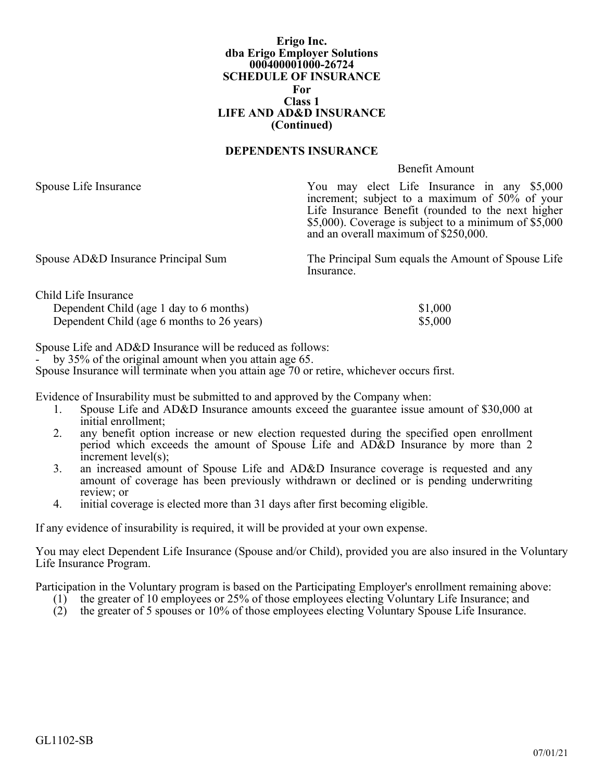#### **Erigo Inc. dba Erigo Employer Solutions 000400001000-26724 SCHEDULE OF INSURANCE For Class 1 LIFE AND AD&D INSURANCE (Continued)**

#### **DEPENDENTS INSURANCE**

#### Benefit Amount

Spouse Life Insurance You may elect Life Insurance in any \$5,000 increment; subject to a maximum of 50% of your Life Insurance Benefit (rounded to the next higher \$5,000). Coverage is subject to a minimum of \$5,000 and an overall maximum of \$250,000.

Spouse AD&D Insurance Principal Sum The Principal Sum equals the Amount of Spouse Life Insurance<sup>1</sup>

| Child Life Insurance                       |         |
|--------------------------------------------|---------|
| Dependent Child (age 1 day to 6 months)    | \$1,000 |
| Dependent Child (age 6 months to 26 years) | \$5,000 |

Spouse Life and AD&D Insurance will be reduced as follows:

- by 35% of the original amount when you attain age 65.

Spouse Insurance will terminate when you attain age 70 or retire, whichever occurs first.

Evidence of Insurability must be submitted to and approved by the Company when:

- 1. Spouse Life and AD&D Insurance amounts exceed the guarantee issue amount of \$30,000 at initial enrollment;
- 2. any benefit option increase or new election requested during the specified open enrollment period which exceeds the amount of Spouse Life and AD&D Insurance by more than 2 increment level(s);
- 3. an increased amount of Spouse Life and AD&D Insurance coverage is requested and any amount of coverage has been previously withdrawn or declined or is pending underwriting review; or
- 4. initial coverage is elected more than 31 days after first becoming eligible.

If any evidence of insurability is required, it will be provided at your own expense.

You may elect Dependent Life Insurance (Spouse and/or Child), provided you are also insured in the Voluntary Life Insurance Program.

Participation in the Voluntary program is based on the Participating Employer's enrollment remaining above:

- (1) the greater of 10 employees or 25% of those employees electing Voluntary Life Insurance; and
- (2) the greater of 5 spouses or 10% of those employees electing Voluntary Spouse Life Insurance.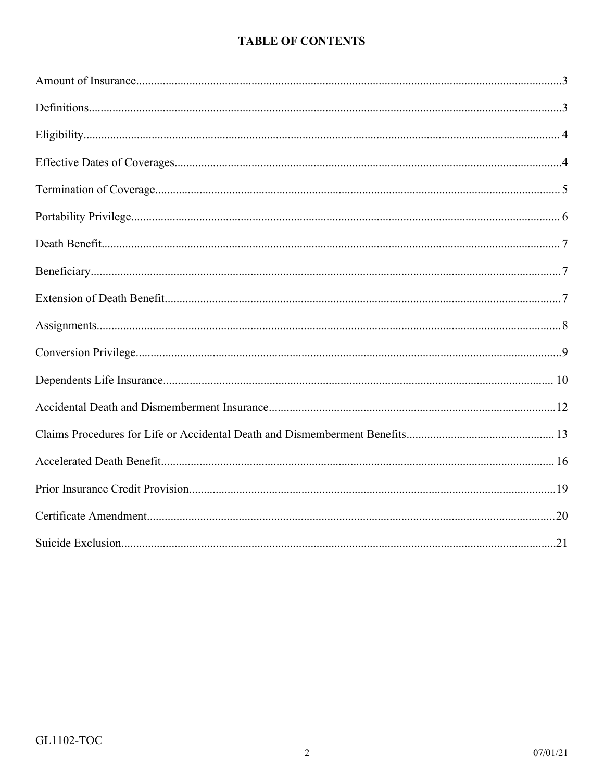# **TABLE OF CONTENTS**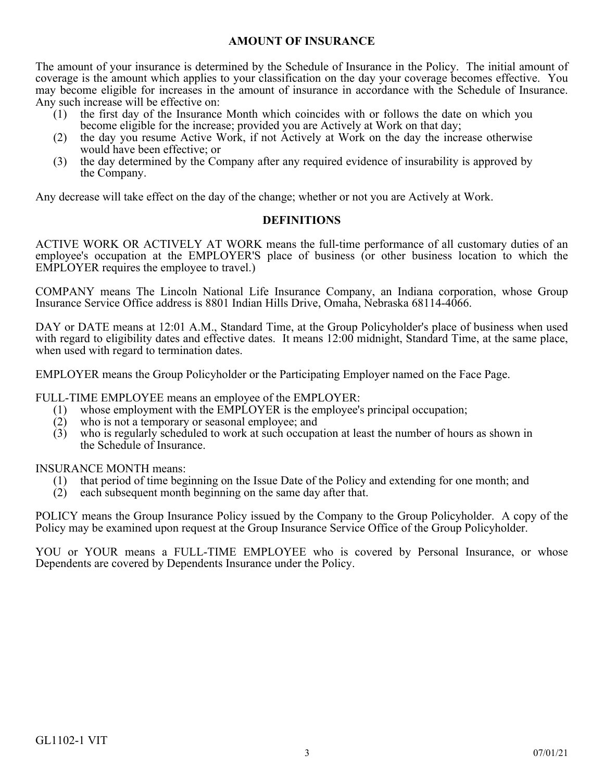## **AMOUNT OF INSURANCE**

<span id="page-6-0"></span>The amount of your insurance is determined by the Schedule of Insurance in the Policy. The initial amount of coverage is the amount which applies to your classification on the day your coverage becomes effective. You may become eligible for increases in the amount of insurance in accordance with the Schedule of Insurance. Any such increase will be effective on:

- (1) the first day of the Insurance Month which coincides with or follows the date on which you become eligible for the increase; provided you are Actively at Work on that day;
- (2) the day you resume Active Work, if not Actively at Work on the day the increase otherwise would have been effective; or
- (3) the day determined by the Company after any required evidence of insurability is approved by the Company.

Any decrease will take effect on the day of the change; whether or not you are Actively at Work.

## **DEFINITIONS**

<span id="page-6-1"></span>ACTIVE WORK OR ACTIVELY AT WORK means the full-time performance of all customary duties of an employee's occupation at the EMPLOYER'S place of business (or other business location to which the EMPLOYER requires the employee to travel.)

COMPANY means The Lincoln National Life Insurance Company, an Indiana corporation, whose Group Insurance Service Office address is 8801 Indian Hills Drive, Omaha, Nebraska 68114-4066.

DAY or DATE means at 12:01 A.M., Standard Time, at the Group Policyholder's place of business when used with regard to eligibility dates and effective dates. It means 12:00 midnight, Standard Time, at the same place, when used with regard to termination dates.

EMPLOYER means the Group Policyholder or the Participating Employer named on the Face Page.

FULL-TIME EMPLOYEE means an employee of the EMPLOYER:

- (1) whose employment with the EMPLOYER is the employee's principal occupation;
- (2) who is not a temporary or seasonal employee; and (3) who is regularly scheduled to work at such occupa
- who is regularly scheduled to work at such occupation at least the number of hours as shown in the Schedule of Insurance.

INSURANCE MONTH means:

- (1) that period of time beginning on the Issue Date of the Policy and extending for one month; and
- (2) each subsequent month beginning on the same day after that.

POLICY means the Group Insurance Policy issued by the Company to the Group Policyholder. A copy of the Policy may be examined upon request at the Group Insurance Service Office of the Group Policyholder.

YOU or YOUR means a FULL-TIME EMPLOYEE who is covered by Personal Insurance, or whose Dependents are covered by Dependents Insurance under the Policy.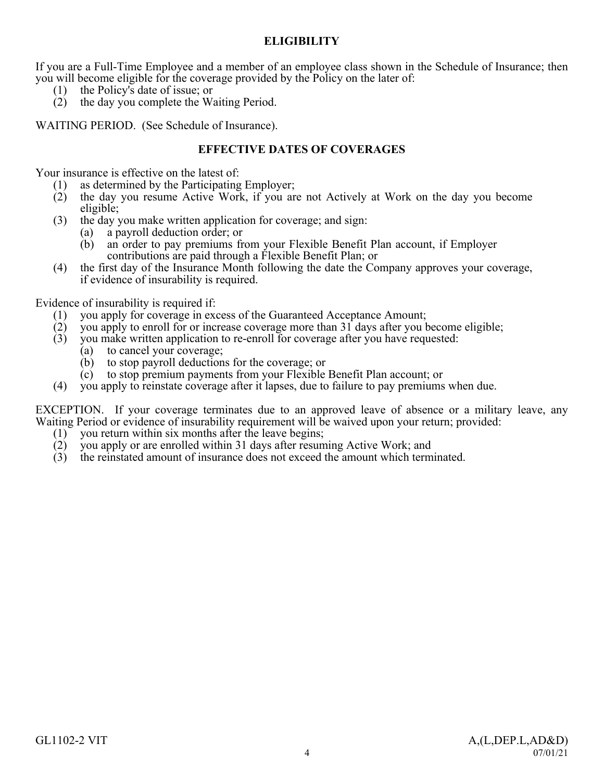## **ELIGIBILITY**

<span id="page-7-0"></span>If you are a Full-Time Employee and a member of an employee class shown in the Schedule of Insurance; then you will become eligible for the coverage provided by the Policy on the later of:

- (1) the Policy's date of issue; or
- (2) the day you complete the Waiting Period.

WAITING PERIOD. (See Schedule of Insurance).

## **EFFECTIVE DATES OF COVERAGES**

<span id="page-7-1"></span>Your insurance is effective on the latest of:

- (1) as determined by the Participating Employer;
- (2) the day you resume Active Work, if you are not Actively at Work on the day you become eligible;
- (3) the day you make written application for coverage; and sign:
	- (a) a payroll deduction order; or
	- (b) an order to pay premiums from your Flexible Benefit Plan account, if Employer contributions are paid through a Flexible Benefit Plan; or
- (4) the first day of the Insurance Month following the date the Company approves your coverage, if evidence of insurability is required.

Evidence of insurability is required if:

- (1) you apply for coverage in excess of the Guaranteed Acceptance Amount;<br>(2) you apply to enroll for or increase coverage more than 31 days after you b
- (2) you apply to enroll for or increase coverage more than 31 days after you become eligible;
- (3) you make written application to re-enroll for coverage after you have requested:
	- (a) to cancel your coverage;
	- (b) to stop payroll deductions for the coverage; or
	- (c) to stop premium payments from your Flexible Benefit Plan account; or
- (4) you apply to reinstate coverage after it lapses, due to failure to pay premiums when due.

EXCEPTION. If your coverage terminates due to an approved leave of absence or a military leave, any Waiting Period or evidence of insurability requirement will be waived upon your return; provided:

- (1) you return within six months after the leave begins;
- (2) you apply or are enrolled within 31 days after resuming Active Work; and
- (3) the reinstated amount of insurance does not exceed the amount which terminated.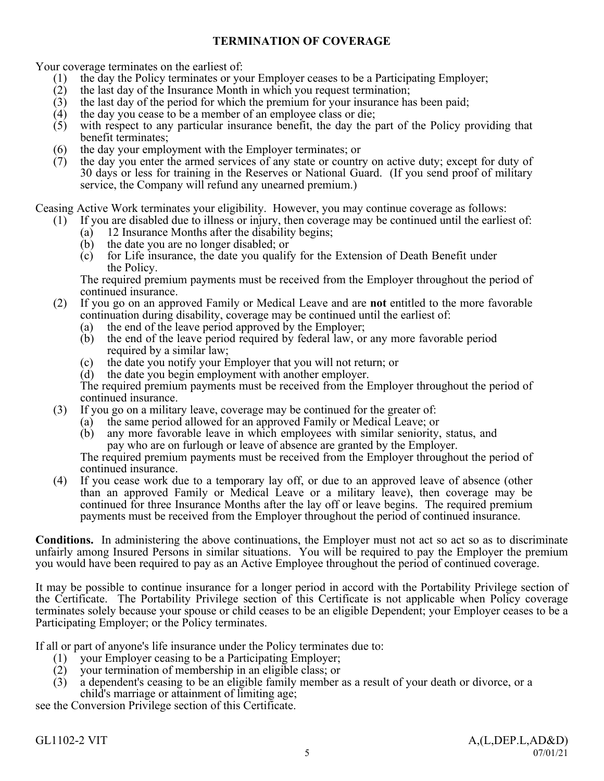## **TERMINATION OF COVERAGE**

<span id="page-8-0"></span>Your coverage terminates on the earliest of:

- (1) the day the Policy terminates or your Employer ceases to be a Participating Employer;
- (2) the last day of the Insurance Month in which you request termination;
- (3) the last day of the period for which the premium for your insurance has been paid;<br>(4) the day you cease to be a member of an employee class or die;
- the day you cease to be a member of an employee class or die;
- (5) with respect to any particular insurance benefit, the day the part of the Policy providing that benefit terminates;
- (6) the day your employment with the Employer terminates; or
- (7) the day you enter the armed services of any state or country on active duty; except for duty of 30 days or less for training in the Reserves or National Guard. (If you send proof of military service, the Company will refund any unearned premium.)

Ceasing Active Work terminates your eligibility. However, you may continue coverage as follows:

- (1) If you are disabled due to illness or injury, then coverage may be continued until the earliest of:
	- (a) 12 Insurance Months after the disability begins;
	- (b) the date you are no longer disabled; or
	- (c) for Life insurance, the date you qualify for the Extension of Death Benefit under the Policy.

The required premium payments must be received from the Employer throughout the period of continued insurance.

- (2) If you go on an approved Family or Medical Leave and are **not** entitled to the more favorable continuation during disability, coverage may be continued until the earliest of:
	- (a) the end of the leave period approved by the Employer;
	- (b) the end of the leave period required by federal law, or any more favorable period required by a similar law;
	- (c) the date you notify your Employer that you will not return; or
	- (d) the date you begin employment with another employer.

The required premium payments must be received from the Employer throughout the period of continued insurance.

- (3) If you go on a military leave, coverage may be continued for the greater of:
	- (a) the same period allowed for an approved Family or Medical Leave; or (b) any more favorable leave in which employees with similar seniority.
	- any more favorable leave in which employees with similar seniority, status, and pay who are on furlough or leave of absence are granted by the Employer.

The required premium payments must be received from the Employer throughout the period of continued insurance.

(4) If you cease work due to a temporary lay off, or due to an approved leave of absence (other than an approved Family or Medical Leave or a military leave), then coverage may be continued for three Insurance Months after the lay off or leave begins. The required premium payments must be received from the Employer throughout the period of continued insurance.

**Conditions.** In administering the above continuations, the Employer must not act so act so as to discriminate unfairly among Insured Persons in similar situations. You will be required to pay the Employer the premium you would have been required to pay as an Active Employee throughout the period of continued coverage.

It may be possible to continue insurance for a longer period in accord with the Portability Privilege section of the Certificate. The Portability Privilege section of this Certificate is not applicable when Policy coverage terminates solely because your spouse or child ceases to be an eligible Dependent; your Employer ceases to be a Participating Employer; or the Policy terminates.

If all or part of anyone's life insurance under the Policy terminates due to:

- (1) your Employer ceasing to be a Participating Employer;
- (2) your termination of membership in an eligible class; or
- (3) a dependent's ceasing to be an eligible family member as a result of your death or divorce, or a child's marriage or attainment of limiting age;

see the Conversion Privilege section of this Certificate.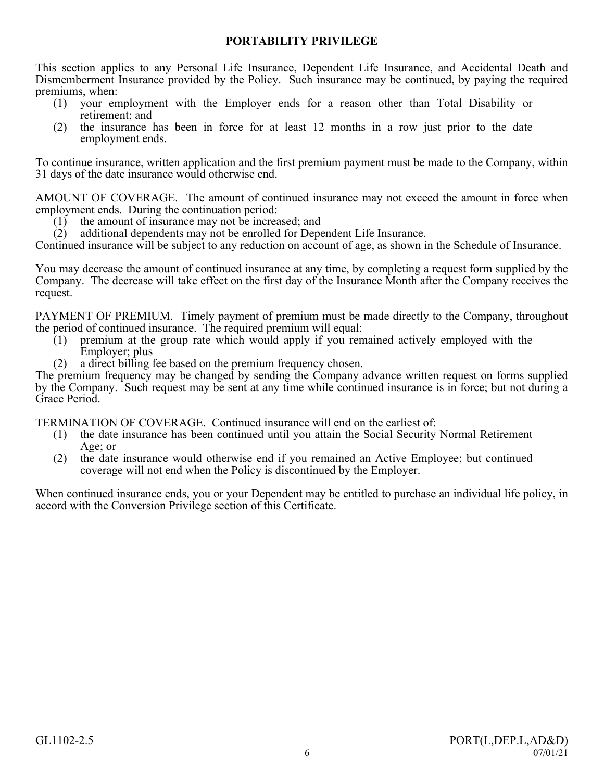## **PORTABILITY PRIVILEGE**

<span id="page-9-0"></span>This section applies to any Personal Life Insurance, Dependent Life Insurance, and Accidental Death and Dismemberment Insurance provided by the Policy. Such insurance may be continued, by paying the required premiums, when:

- (1) your employment with the Employer ends for a reason other than Total Disability or retirement; and
- (2) the insurance has been in force for at least 12 months in a row just prior to the date employment ends.

To continue insurance, written application and the first premium payment must be made to the Company, within 31 days of the date insurance would otherwise end.

AMOUNT OF COVERAGE. The amount of continued insurance may not exceed the amount in force when employment ends. During the continuation period:

- (1) the amount of insurance may not be increased; and (2) additional dependents may not be enrolled for Depe
- additional dependents may not be enrolled for Dependent Life Insurance.

Continued insurance will be subject to any reduction on account of age, as shown in the Schedule of Insurance.

You may decrease the amount of continued insurance at any time, by completing a request form supplied by the Company. The decrease will take effect on the first day of the Insurance Month after the Company receives the request.

PAYMENT OF PREMIUM. Timely payment of premium must be made directly to the Company, throughout the period of continued insurance. The required premium will equal:

- (1) premium at the group rate which would apply if you remained actively employed with the Employer; plus
- (2) a direct billing fee based on the premium frequency chosen.

The premium frequency may be changed by sending the Company advance written request on forms supplied by the Company. Such request may be sent at any time while continued insurance is in force; but not during a Grace Period.

TERMINATION OF COVERAGE. Continued insurance will end on the earliest of:

- (1) the date insurance has been continued until you attain the Social Security Normal Retirement Age; or
- (2) the date insurance would otherwise end if you remained an Active Employee; but continued coverage will not end when the Policy is discontinued by the Employer.

When continued insurance ends, you or your Dependent may be entitled to purchase an individual life policy, in accord with the Conversion Privilege section of this Certificate.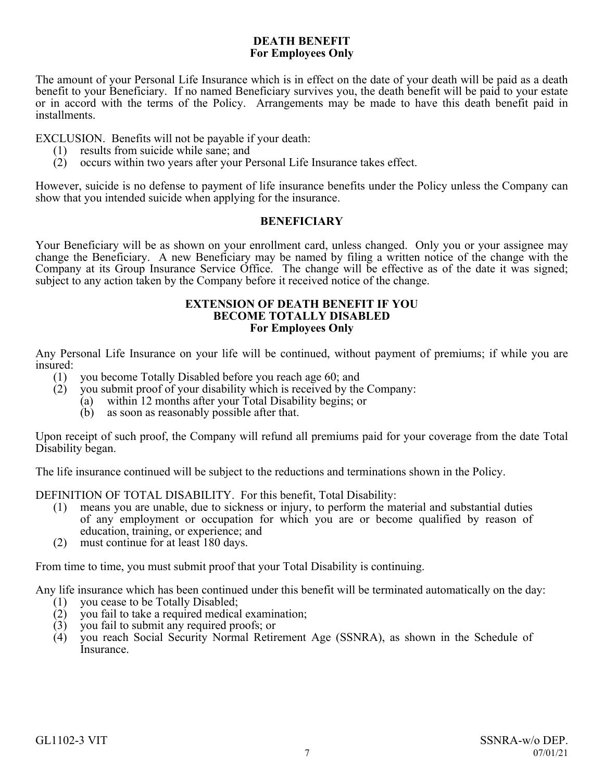## **DEATH BENEFIT For Employees Only**

<span id="page-10-0"></span>The amount of your Personal Life Insurance which is in effect on the date of your death will be paid as a death benefit to your Beneficiary. If no named Beneficiary survives you, the death benefit will be paid to your estate or in accord with the terms of the Policy. Arrangements may be made to have this death benefit paid in installments.

EXCLUSION. Benefits will not be payable if your death:

- (1) results from suicide while sane; and
- (2) occurs within two years after your Personal Life Insurance takes effect.

However, suicide is no defense to payment of life insurance benefits under the Policy unless the Company can show that you intended suicide when applying for the insurance.

## **BENEFICIARY**

<span id="page-10-1"></span>Your Beneficiary will be as shown on your enrollment card, unless changed. Only you or your assignee may change the Beneficiary. A new Beneficiary may be named by filing a written notice of the change with the Company at its Group Insurance Service Office. The change will be effective as of the date it was signed; subject to any action taken by the Company before it received notice of the change.

#### **EXTENSION OF DEATH BENEFIT IF YOU BECOME TOTALLY DISABLED For Employees Only**

<span id="page-10-2"></span>Any Personal Life Insurance on your life will be continued, without payment of premiums; if while you are insured:

- (1) you become Totally Disabled before you reach age 60; and
- (2) you submit proof of your disability which is received by the Company:
	- (a) within 12 months after your Total Disability begins; or
	- (b) as soon as reasonably possible after that.

Upon receipt of such proof, the Company will refund all premiums paid for your coverage from the date Total Disability began.

The life insurance continued will be subject to the reductions and terminations shown in the Policy.

DEFINITION OF TOTAL DISABILITY. For this benefit, Total Disability:

- (1) means you are unable, due to sickness or injury, to perform the material and substantial duties of any employment or occupation for which you are or become qualified by reason of education, training, or experience; and
- (2) must continue for at least 180 days.

From time to time, you must submit proof that your Total Disability is continuing.

Any life insurance which has been continued under this benefit will be terminated automatically on the day:

- (1) you cease to be Totally Disabled;<br>(2) you fail to take a required medical
- you fail to take a required medical examination;
- (3) you fail to submit any required proofs; or
- (4) you reach Social Security Normal Retirement Age (SSNRA), as shown in the Schedule of Insurance.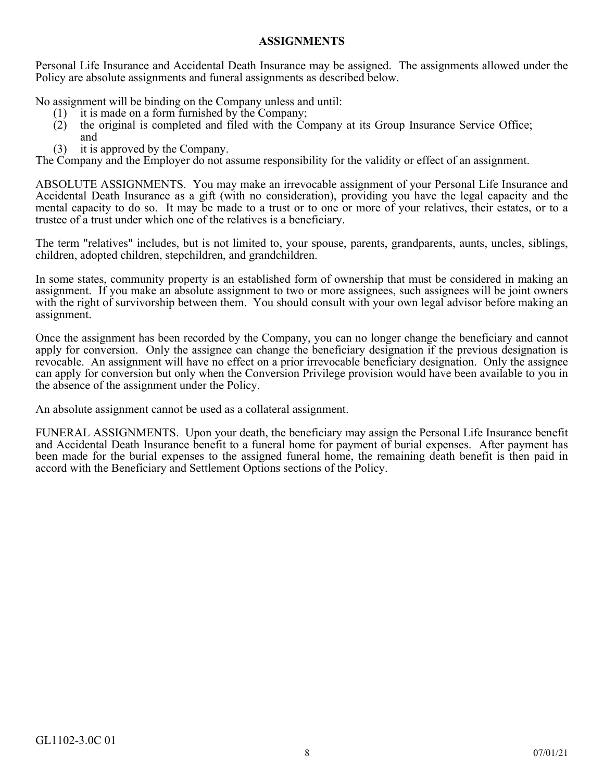## **ASSIGNMENTS**

<span id="page-11-0"></span>Personal Life Insurance and Accidental Death Insurance may be assigned. The assignments allowed under the Policy are absolute assignments and funeral assignments as described below.

No assignment will be binding on the Company unless and until:

- 
- (1) it is made on a form furnished by the Company;<br>(2) the original is completed and filed with the Co the original is completed and filed with the Company at its Group Insurance Service Office; and
- (3) it is approved by the Company.

The Company and the Employer do not assume responsibility for the validity or effect of an assignment.

ABSOLUTE ASSIGNMENTS. You may make an irrevocable assignment of your Personal Life Insurance and Accidental Death Insurance as a gift (with no consideration), providing you have the legal capacity and the mental capacity to do so. It may be made to a trust or to one or more of your relatives, their estates, or to a trustee of a trust under which one of the relatives is a beneficiary.

The term "relatives" includes, but is not limited to, your spouse, parents, grandparents, aunts, uncles, siblings, children, adopted children, stepchildren, and grandchildren.

In some states, community property is an established form of ownership that must be considered in making an assignment. If you make an absolute assignment to two or more assignees, such assignees will be joint owners with the right of survivorship between them. You should consult with your own legal advisor before making an assignment.

Once the assignment has been recorded by the Company, you can no longer change the beneficiary and cannot apply for conversion. Only the assignee can change the beneficiary designation if the previous designation is revocable. An assignment will have no effect on a prior irrevocable beneficiary designation. Only the assignee can apply for conversion but only when the Conversion Privilege provision would have been available to you in the absence of the assignment under the Policy.

An absolute assignment cannot be used as a collateral assignment.

FUNERAL ASSIGNMENTS. Upon your death, the beneficiary may assign the Personal Life Insurance benefit and Accidental Death Insurance benefit to a funeral home for payment of burial expenses. After payment has been made for the burial expenses to the assigned funeral home, the remaining death benefit is then paid in accord with the Beneficiary and Settlement Options sections of the Policy.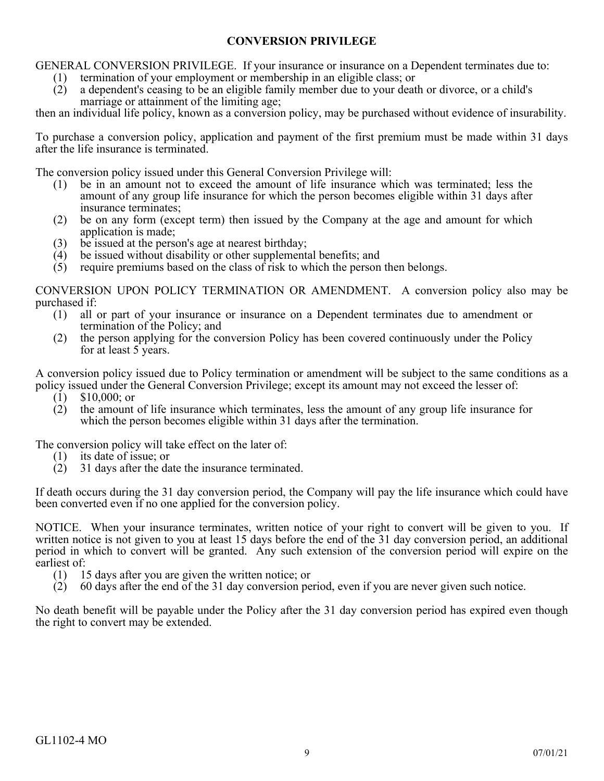## **CONVERSION PRIVILEGE**

<span id="page-12-0"></span>GENERAL CONVERSION PRIVILEGE. If your insurance or insurance on a Dependent terminates due to:

(1) termination of your employment or membership in an eligible class; or (2) a dependent's ceasing to be an eligible family member due to your deat a dependent's ceasing to be an eligible family member due to your death or divorce, or a child's marriage or attainment of the limiting age;

then an individual life policy, known as a conversion policy, may be purchased without evidence of insurability.

To purchase a conversion policy, application and payment of the first premium must be made within 31 days after the life insurance is terminated.

The conversion policy issued under this General Conversion Privilege will:

- (1) be in an amount not to exceed the amount of life insurance which was terminated; less the amount of any group life insurance for which the person becomes eligible within 31 days after insurance terminates;
- (2) be on any form (except term) then issued by the Company at the age and amount for which application is made;
- (3) be issued at the person's age at nearest birthday;<br>(4) be issued without disability or other supplement
- (4) be issued without disability or other supplemental benefits; and  $(5)$  require premiums based on the class of risk to which the person
- require premiums based on the class of risk to which the person then belongs.

CONVERSION UPON POLICY TERMINATION OR AMENDMENT. A conversion policy also may be purchased if:<br>(1) all

- all or part of your insurance or insurance on a Dependent terminates due to amendment or termination of the Policy; and
- (2) the person applying for the conversion Policy has been covered continuously under the Policy for at least 5 years.

A conversion policy issued due to Policy termination or amendment will be subject to the same conditions as a policy issued under the General Conversion Privilege; except its amount may not exceed the lesser of:<br>(1) \$10,000; or

- 
- (1) \$10,000; or<br>(2) the amount (2) the amount of life insurance which terminates, less the amount of any group life insurance for which the person becomes eligible within 31 days after the termination.

The conversion policy will take effect on the later of:

- (1) its date of issue; or<br>(2)  $31$  days after the da
- (2) 31 days after the date the insurance terminated.

If death occurs during the 31 day conversion period, the Company will pay the life insurance which could have been converted even if no one applied for the conversion policy.

NOTICE. When your insurance terminates, written notice of your right to convert will be given to you. If written notice is not given to you at least 15 days before the end of the 31 day conversion period, an additional period in which to convert will be granted. Any such extension of the conversion period will expire on the earliest of:<br>(1)  $1$ 

- (1) 15 days after you are given the written notice; or  $(2)$  60 days after the end of the 31 day conversion pe
- (2) 60 days after the end of the 31 day conversion period, even if you are never given such notice.

No death benefit will be payable under the Policy after the 31 day conversion period has expired even though the right to convert may be extended.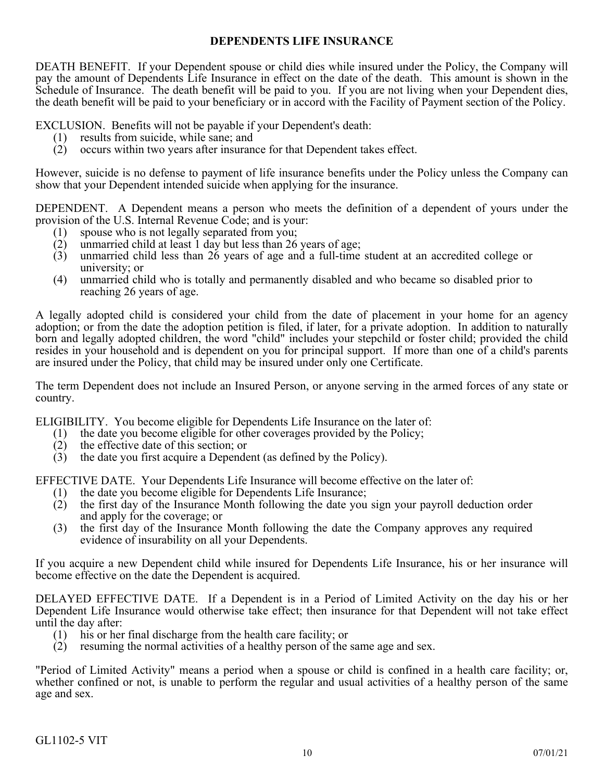## **DEPENDENTS LIFE INSURANCE**

<span id="page-13-0"></span>DEATH BENEFIT. If your Dependent spouse or child dies while insured under the Policy, the Company will pay the amount of Dependents Life Insurance in effect on the date of the death. This amount is shown in the Schedule of Insurance. The death benefit will be paid to you. If you are not living when your Dependent dies, the death benefit will be paid to your beneficiary or in accord with the Facility of Payment section of the Policy.

EXCLUSION. Benefits will not be payable if your Dependent's death:

- (1) results from suicide, while sane; and
- (2) occurs within two years after insurance for that Dependent takes effect.

However, suicide is no defense to payment of life insurance benefits under the Policy unless the Company can show that your Dependent intended suicide when applying for the insurance.

DEPENDENT. A Dependent means a person who meets the definition of a dependent of yours under the provision of the U.S. Internal Revenue Code; and is your:

- (1) spouse who is not legally separated from you;<br>(2) unmarried child at least 1 day but less than 26
- unmarried child at least 1 day but less than 26 years of age;
- (3) unmarried child less than 26 years of age and a full-time student at an accredited college or university; or
- (4) unmarried child who is totally and permanently disabled and who became so disabled prior to reaching 26 years of age.

A legally adopted child is considered your child from the date of placement in your home for an agency adoption; or from the date the adoption petition is filed, if later, for a private adoption. In addition to naturally born and legally adopted children, the word "child" includes your stepchild or foster child; provided the child resides in your household and is dependent on you for principal support. If more than one of a child's parents are insured under the Policy, that child may be insured under only one Certificate.

The term Dependent does not include an Insured Person, or anyone serving in the armed forces of any state or country.

ELIGIBILITY. You become eligible for Dependents Life Insurance on the later of:

- (1) the date you become eligible for other coverages provided by the Policy;
- (2) the effective date of this section; or
- (3) the date you first acquire a Dependent (as defined by the Policy).

EFFECTIVE DATE. Your Dependents Life Insurance will become effective on the later of:

- (1) the date you become eligible for Dependents Life Insurance;<br>(2) the first day of the Insurance Month following the date you
- the first day of the Insurance Month following the date you sign your payroll deduction order and apply for the coverage; or
- (3) the first day of the Insurance Month following the date the Company approves any required evidence of insurability on all your Dependents.

If you acquire a new Dependent child while insured for Dependents Life Insurance, his or her insurance will become effective on the date the Dependent is acquired.

DELAYED EFFECTIVE DATE. If a Dependent is in a Period of Limited Activity on the day his or her Dependent Life Insurance would otherwise take effect; then insurance for that Dependent will not take effect until the day after:

- (1) his or her final discharge from the health care facility; or
- (2) resuming the normal activities of a healthy person of the same age and sex.

"Period of Limited Activity" means a period when a spouse or child is confined in a health care facility; or, whether confined or not, is unable to perform the regular and usual activities of a healthy person of the same age and sex.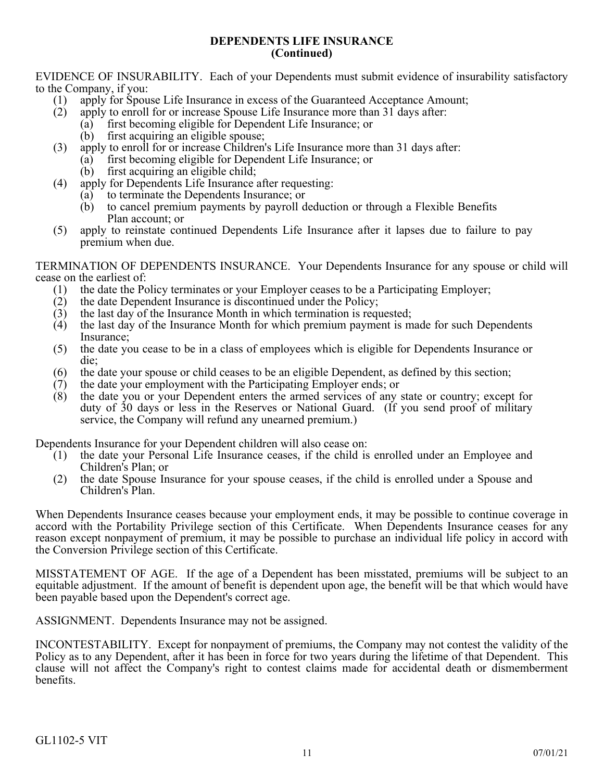### **DEPENDENTS LIFE INSURANCE (Continued)**

EVIDENCE OF INSURABILITY. Each of your Dependents must submit evidence of insurability satisfactory to the Company, if you:

- (1) apply for Spouse Life Insurance in excess of the Guaranteed Acceptance Amount;
- (2) apply to enroll for or increase Spouse Life Insurance more than 31 days after:
	- (a) first becoming eligible for Dependent Life Insurance; or
		- (b) first acquiring an eligible spouse;
- (3) apply to enroll for or increase Children's Life Insurance more than 31 days after:
	- (a) first becoming eligible for Dependent Life Insurance; or
		- (b) first acquiring an eligible child;
- (4) apply for Dependents Life Insurance after requesting:
	- (a) to terminate the Dependents Insurance; or
	- (b) to cancel premium payments by payroll deduction or through a Flexible Benefits Plan account; or
- (5) apply to reinstate continued Dependents Life Insurance after it lapses due to failure to pay premium when due.

TERMINATION OF DEPENDENTS INSURANCE. Your Dependents Insurance for any spouse or child will cease on the earliest of:

- (1) the date the Policy terminates or your Employer ceases to be a Participating Employer;
- (2) the date Dependent Insurance is discontinued under the Policy;
- (3) the last day of the Insurance Month in which termination is requested;
- (4) the last day of the Insurance Month for which premium payment is made for such Dependents Insurance;
- (5) the date you cease to be in a class of employees which is eligible for Dependents Insurance or die;
- (6) the date your spouse or child ceases to be an eligible Dependent, as defined by this section;  $(7)$  the date your employment with the Participating Employer ends; or
- the date your employment with the Participating Employer ends; or
- (8) the date you or your Dependent enters the armed services of any state or country; except for duty of 30 days or less in the Reserves or National Guard. (If you send proof of military service, the Company will refund any unearned premium.)

Dependents Insurance for your Dependent children will also cease on:

- (1) the date your Personal Life Insurance ceases, if the child is enrolled under an Employee and Children's Plan; or
- (2) the date Spouse Insurance for your spouse ceases, if the child is enrolled under a Spouse and Children's Plan.

When Dependents Insurance ceases because your employment ends, it may be possible to continue coverage in accord with the Portability Privilege section of this Certificate. When Dependents Insurance ceases for any reason except nonpayment of premium, it may be possible to purchase an individual life policy in accord with the Conversion Privilege section of this Certificate.

MISSTATEMENT OF AGE. If the age of a Dependent has been misstated, premiums will be subject to an equitable adjustment. If the amount of benefit is dependent upon age, the benefit will be that which would have been payable based upon the Dependent's correct age.

ASSIGNMENT. Dependents Insurance may not be assigned.

INCONTESTABILITY. Except for nonpayment of premiums, the Company may not contest the validity of the Policy as to any Dependent, after it has been in force for two years during the lifetime of that Dependent. This clause will not affect the Company's right to contest claims made for accidental death or dismemberment benefits.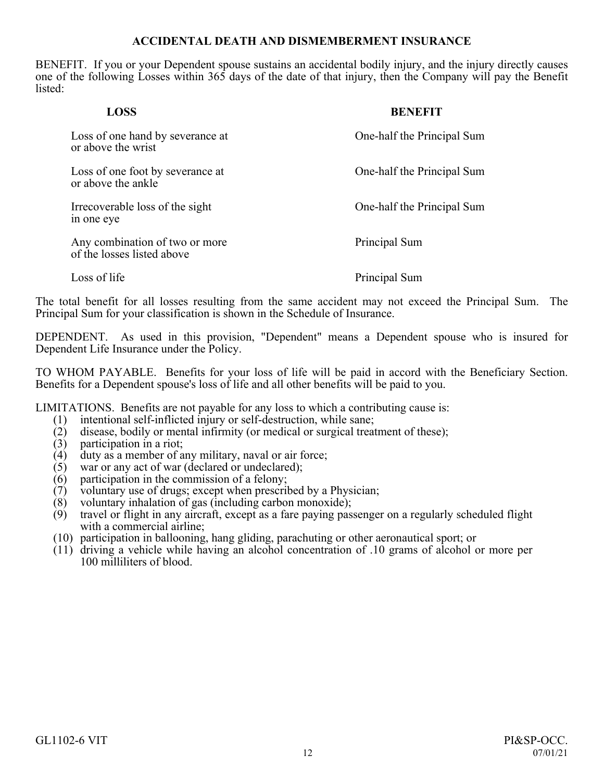## **ACCIDENTAL DEATH AND DISMEMBERMENT INSURANCE**

<span id="page-15-0"></span>BENEFIT. If you or your Dependent spouse sustains an accidental bodily injury, and the injury directly causes one of the following Losses within 365 days of the date of that injury, then the Company will pay the Benefit listed:

| <b>LOSS</b>                                                  | <b>BENEFIT</b>             |
|--------------------------------------------------------------|----------------------------|
| Loss of one hand by severance at<br>or above the wrist       | One-half the Principal Sum |
| Loss of one foot by severance at<br>or above the ankle       | One-half the Principal Sum |
| Irrecoverable loss of the sight<br>in one eye                | One-half the Principal Sum |
| Any combination of two or more<br>of the losses listed above | Principal Sum              |
| Loss of life                                                 | Principal Sum              |

The total benefit for all losses resulting from the same accident may not exceed the Principal Sum. The Principal Sum for your classification is shown in the Schedule of Insurance.

DEPENDENT. As used in this provision, "Dependent" means a Dependent spouse who is insured for Dependent Life Insurance under the Policy.

TO WHOM PAYABLE. Benefits for your loss of life will be paid in accord with the Beneficiary Section. Benefits for a Dependent spouse's loss of life and all other benefits will be paid to you.

LIMITATIONS. Benefits are not payable for any loss to which a contributing cause is:

- (1) intentional self-inflicted injury or self-destruction, while sane;<br>(2) disease, bodily or mental infirmity (or medical or surgical treat
- disease, bodily or mental infirmity (or medical or surgical treatment of these);
- (3) participation in a riot;
- (4) duty as a member of any military, naval or air force;<br>(5) war or any act of war (declared or undeclared);
- war or any act of war (declared or undeclared);
- $(6)$  participation in the commission of a felony;
- (7) voluntary use of drugs; except when prescribed by a Physician;
- (8) voluntary inhalation of gas (including carbon monoxide);<br>(9) travel or flight in any aircraft, except as a fare paying pas
- (9) travel or flight in any aircraft, except as a fare paying passenger on a regularly scheduled flight with a commercial airline;
- (10) participation in ballooning, hang gliding, parachuting or other aeronautical sport; or
- (11) driving a vehicle while having an alcohol concentration of .10 grams of alcohol or more per 100 milliliters of blood.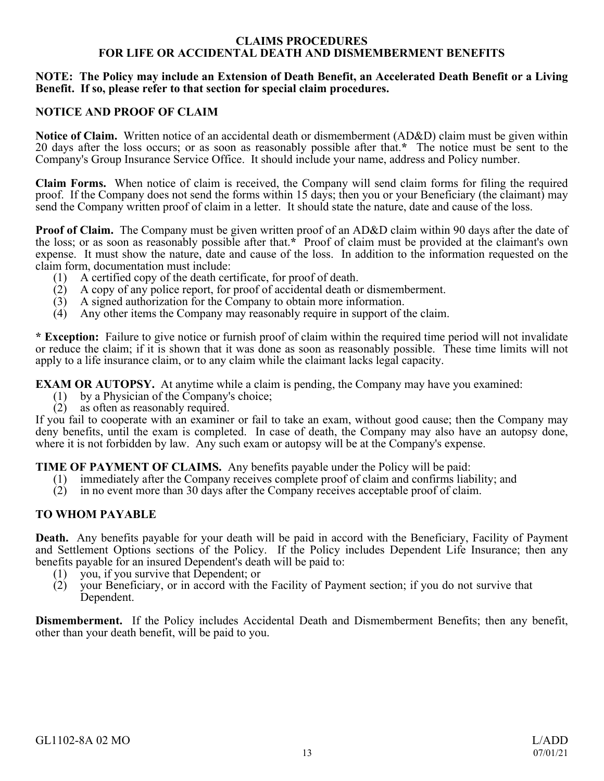### **CLAIMS PROCEDURES FOR LIFE OR ACCIDENTAL DEATH AND DISMEMBERMENT BENEFITS**

### <span id="page-16-0"></span>**NOTE: The Policy may include an Extension of Death Benefit, an Accelerated Death Benefit or a Living Benefit. If so, please refer to that section for special claim procedures.**

## **NOTICE AND PROOF OF CLAIM**

**Notice of Claim.** Written notice of an accidental death or dismemberment (AD&D) claim must be given within 20 days after the loss occurs; or as soon as reasonably possible after that.**\*** The notice must be sent to the Company's Group Insurance Service Office. It should include your name, address and Policy number.

**Claim Forms.** When notice of claim is received, the Company will send claim forms for filing the required proof. If the Company does not send the forms within 15 days; then you or your Beneficiary (the claimant) may send the Company written proof of claim in a letter. It should state the nature, date and cause of the loss.

**Proof of Claim.** The Company must be given written proof of an AD&D claim within 90 days after the date of the loss; or as soon as reasonably possible after that.**\*** Proof of claim must be provided at the claimant's own expense. It must show the nature, date and cause of the loss. In addition to the information requested on the claim form, documentation must include:

- (1) A certified copy of the death certificate, for proof of death.
- (2) A copy of any police report, for proof of accidental death or dismemberment.
- $(3)$  A signed authorization for the Company to obtain more information.
- (4) Any other items the Company may reasonably require in support of the claim.

**\* Exception:** Failure to give notice or furnish proof of claim within the required time period will not invalidate or reduce the claim; if it is shown that it was done as soon as reasonably possible. These time limits will not apply to a life insurance claim, or to any claim while the claimant lacks legal capacity.

**EXAM OR AUTOPSY.** At anytime while a claim is pending, the Company may have you examined:

- (1) by a Physician of the Company's choice;
- $(2)$  as often as reasonably required.

If you fail to cooperate with an examiner or fail to take an exam, without good cause; then the Company may deny benefits, until the exam is completed. In case of death, the Company may also have an autopsy done, where it is not forbidden by law. Any such exam or autopsy will be at the Company's expense.

**TIME OF PAYMENT OF CLAIMS.** Any benefits payable under the Policy will be paid:

- (1) immediately after the Company receives complete proof of claim and confirms liability; and
- (2) in no event more than 30 days after the Company receives acceptable proof of claim.

## **TO WHOM PAYABLE**

**Death.** Any benefits payable for your death will be paid in accord with the Beneficiary, Facility of Payment and Settlement Options sections of the Policy. If the Policy includes Dependent Life Insurance; then any benefits payable for an insured Dependent's death will be paid to:

- (1) you, if you survive that Dependent; or
- (2) your Beneficiary, or in accord with the Facility of Payment section; if you do not survive that Dependent.

**Dismemberment.** If the Policy includes Accidental Death and Dismemberment Benefits; then any benefit, other than your death benefit, will be paid to you.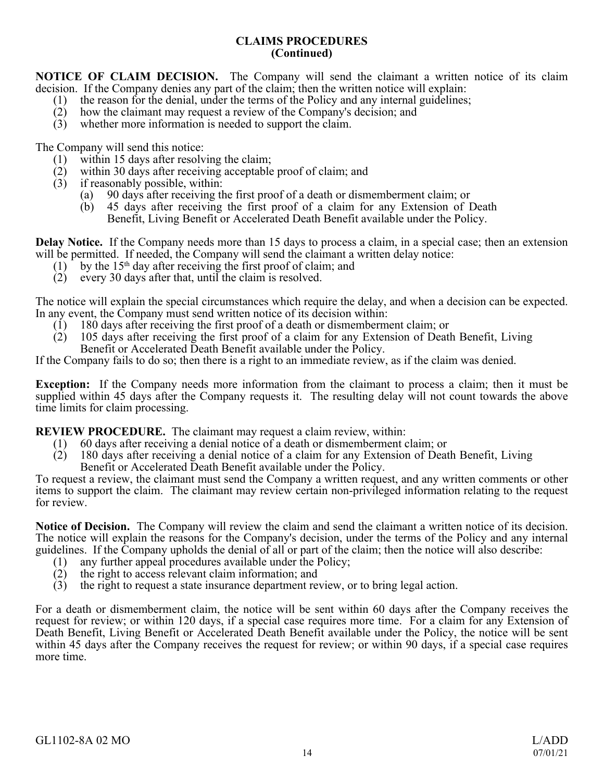### **CLAIMS PROCEDURES (Continued)**

**NOTICE OF CLAIM DECISION.** The Company will send the claimant a written notice of its claim decision. If the Company denies any part of the claim; then the written notice will explain:

- (1) the reason for the denial, under the terms of the Policy and any internal guidelines;
- (2) how the claimant may request a review of the Company's decision; and
- (3) whether more information is needed to support the claim.

The Company will send this notice:

- (1) within 15 days after resolving the claim;
- (2) within 30 days after receiving acceptable proof of claim; and
- (3) if reasonably possible, within:
	- (a) 90 days after receiving the first proof of a death or dismemberment claim; or
	- (b) 45 days after receiving the first proof of a claim for any Extension of Death Benefit, Living Benefit or Accelerated Death Benefit available under the Policy.

**Delay Notice.** If the Company needs more than 15 days to process a claim, in a special case; then an extension will be permitted. If needed, the Company will send the claimant a written delay notice:

- (1) by the  $15<sup>th</sup>$  day after receiving the first proof of claim; and
- (2) every 30 days after that, until the claim is resolved.

The notice will explain the special circumstances which require the delay, and when a decision can be expected. In any event, the Company must send written notice of its decision within:

- (1) 180 days after receiving the first proof of a death or dismemberment claim; or
- (2) 105 days after receiving the first proof of a claim for any Extension of Death Benefit, Living Benefit or Accelerated Death Benefit available under the Policy.

If the Company fails to do so; then there is a right to an immediate review, as if the claim was denied.

**Exception:** If the Company needs more information from the claimant to process a claim; then it must be supplied within 45 days after the Company requests it. The resulting delay will not count towards the above time limits for claim processing.

**REVIEW PROCEDURE.** The claimant may request a claim review, within:

- (1) 60 days after receiving a denial notice of a death or dismemberment claim; or
- (2) 180 days after receiving a denial notice of a claim for any Extension of Death Benefit, Living Benefit or Accelerated Death Benefit available under the Policy.

To request a review, the claimant must send the Company a written request, and any written comments or other items to support the claim. The claimant may review certain non-privileged information relating to the request for review.

**Notice of Decision.** The Company will review the claim and send the claimant a written notice of its decision. The notice will explain the reasons for the Company's decision, under the terms of the Policy and any internal guidelines. If the Company upholds the denial of all or part of the claim; then the notice will also describe:

- (1) any further appeal procedures available under the Policy;
- (2) the right to access relevant claim information; and
- (3) the right to request a state insurance department review, or to bring legal action.

For a death or dismemberment claim, the notice will be sent within 60 days after the Company receives the request for review; or within 120 days, if a special case requires more time. For a claim for any Extension of Death Benefit, Living Benefit or Accelerated Death Benefit available under the Policy, the notice will be sent within 45 days after the Company receives the request for review; or within 90 days, if a special case requires more time.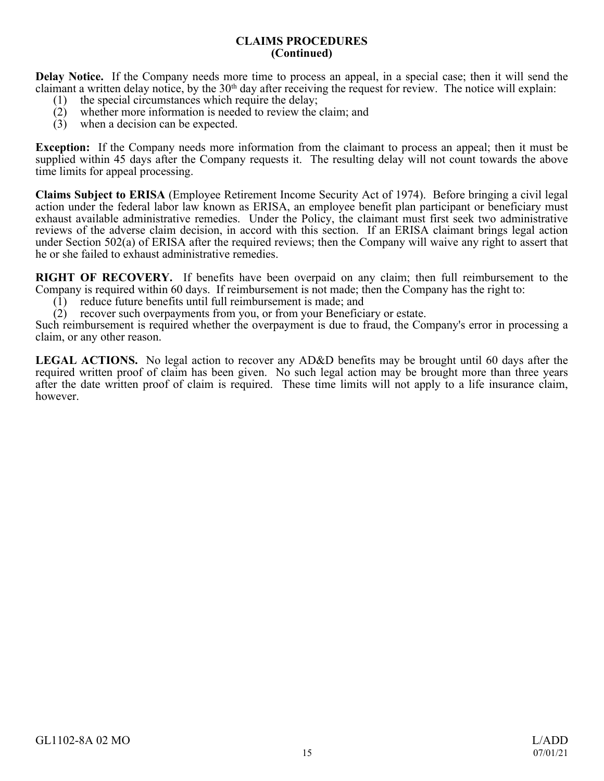#### **CLAIMS PROCEDURES (Continued)**

**Delay Notice.** If the Company needs more time to process an appeal, in a special case; then it will send the claimant a written delay notice, by the  $30<sup>th</sup>$  day after receiving the request for review. The notice will explain:

- (1) the special circumstances which require the delay;
- (2) whether more information is needed to review the claim; and
- (3) when a decision can be expected.

**Exception:** If the Company needs more information from the claimant to process an appeal; then it must be supplied within 45 days after the Company requests it. The resulting delay will not count towards the above time limits for appeal processing.

**Claims Subject to ERISA** (Employee Retirement Income Security Act of 1974). Before bringing a civil legal action under the federal labor law known as ERISA, an employee benefit plan participant or beneficiary must exhaust available administrative remedies. Under the Policy, the claimant must first seek two administrative reviews of the adverse claim decision, in accord with this section. If an ERISA claimant brings legal action under Section 502(a) of ERISA after the required reviews; then the Company will waive any right to assert that he or she failed to exhaust administrative remedies.

**RIGHT OF RECOVERY.** If benefits have been overpaid on any claim; then full reimbursement to the Company is required within 60 days. If reimbursement is not made; then the Company has the right to:

(1) reduce future benefits until full reimbursement is made; and

(2) recover such overpayments from you, or from your Beneficiary or estate.

Such reimbursement is required whether the overpayment is due to fraud, the Company's error in processing a claim, or any other reason.

**LEGAL ACTIONS.** No legal action to recover any AD&D benefits may be brought until 60 days after the required written proof of claim has been given. No such legal action may be brought more than three years after the date written proof of claim is required. These time limits will not apply to a life insurance claim, however.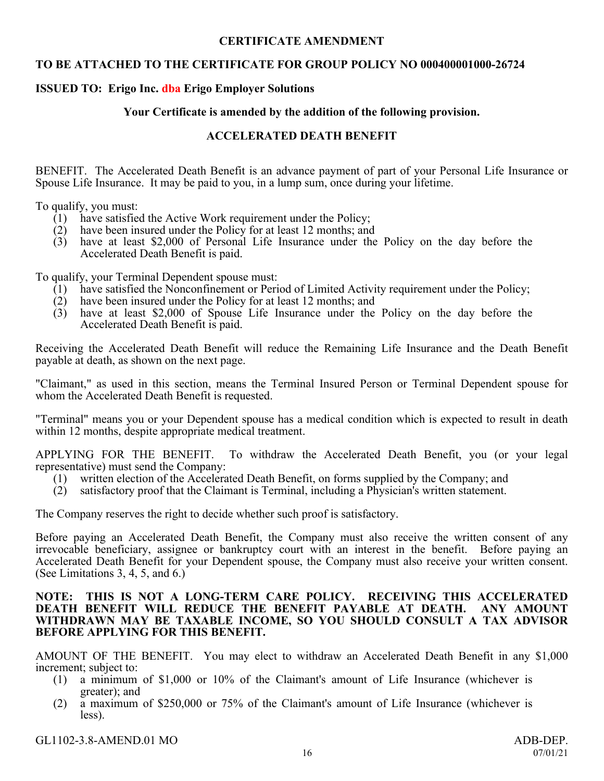## **CERTIFICATE AMENDMENT**

## **TO BE ATTACHED TO THE CERTIFICATE FOR GROUP POLICY NO 000400001000-26724**

## **ISSUED TO: Erigo Inc. dba Erigo Employer Solutions**

## **Your Certificate is amended by the addition of the following provision.**

## **ACCELERATED DEATH BENEFIT**

<span id="page-19-0"></span>BENEFIT. The Accelerated Death Benefit is an advance payment of part of your Personal Life Insurance or Spouse Life Insurance. It may be paid to you, in a lump sum, once during your lifetime.

To qualify, you must:

- (1) have satisfied the Active Work requirement under the Policy;
- (2) have been insured under the Policy for at least 12 months; and
- (3) have at least \$2,000 of Personal Life Insurance under the Policy on the day before the Accelerated Death Benefit is paid.

To qualify, your Terminal Dependent spouse must:

- (1) have satisfied the Nonconfinement or Period of Limited Activity requirement under the Policy;
- $(2)$  have been insured under the Policy for at least 12 months; and
- (3) have at least \$2,000 of Spouse Life Insurance under the Policy on the day before the Accelerated Death Benefit is paid.

Receiving the Accelerated Death Benefit will reduce the Remaining Life Insurance and the Death Benefit payable at death, as shown on the next page.

"Claimant," as used in this section, means the Terminal Insured Person or Terminal Dependent spouse for whom the Accelerated Death Benefit is requested.

"Terminal" means you or your Dependent spouse has a medical condition which is expected to result in death within 12 months, despite appropriate medical treatment.

APPLYING FOR THE BENEFIT. To withdraw the Accelerated Death Benefit, you (or your legal representative) must send the Company:

- (1) written election of the Accelerated Death Benefit, on forms supplied by the Company; and
- (2) satisfactory proof that the Claimant is Terminal, including a Physician's written statement.

The Company reserves the right to decide whether such proof is satisfactory.

Before paying an Accelerated Death Benefit, the Company must also receive the written consent of any irrevocable beneficiary, assignee or bankruptcy court with an interest in the benefit. Before paying an Accelerated Death Benefit for your Dependent spouse, the Company must also receive your written consent. (See Limitations 3, 4, 5, and 6.)

### **NOTE: THIS IS NOT A LONG-TERM CARE POLICY. RECEIVING THIS ACCELERATED DEATH BENEFIT WILL REDUCE THE BENEFIT PAYABLE AT DEATH. ANY AMOUNT WITHDRAWN MAY BE TAXABLE INCOME, SO YOU SHOULD CONSULT A TAX ADVISOR BEFORE APPLYING FOR THIS BENEFIT.**

AMOUNT OF THE BENEFIT. You may elect to withdraw an Accelerated Death Benefit in any \$1,000 increment; subject to:

- (1) a minimum of \$1,000 or 10% of the Claimant's amount of Life Insurance (whichever is greater); and
- (2) a maximum of \$250,000 or 75% of the Claimant's amount of Life Insurance (whichever is less).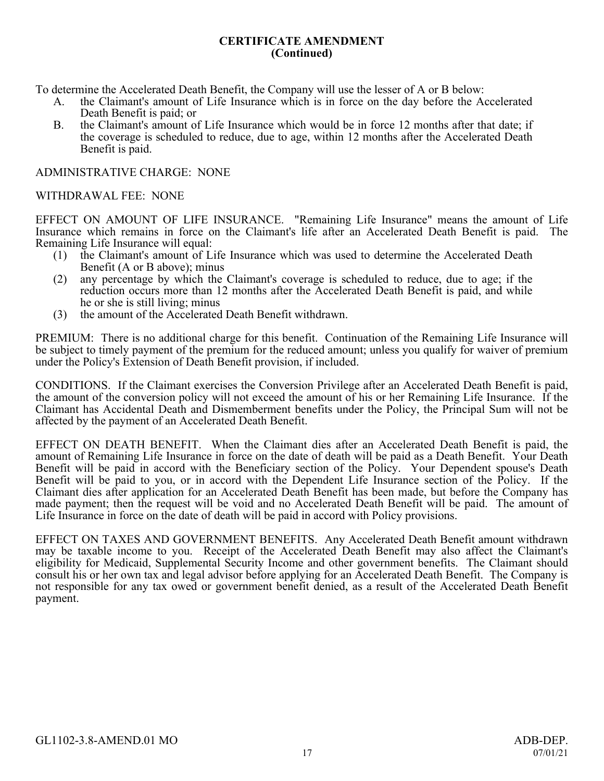### **CERTIFICATE AMENDMENT (Continued)**

To determine the Accelerated Death Benefit, the Company will use the lesser of A or B below:

- A. the Claimant's amount of Life Insurance which is in force on the day before the Accelerated Death Benefit is paid; or
- B. the Claimant's amount of Life Insurance which would be in force 12 months after that date; if the coverage is scheduled to reduce, due to age, within 12 months after the Accelerated Death Benefit is paid.

### ADMINISTRATIVE CHARGE: NONE

### WITHDRAWAL FEE: NONE

EFFECT ON AMOUNT OF LIFE INSURANCE. "Remaining Life Insurance" means the amount of Life Insurance which remains in force on the Claimant's life after an Accelerated Death Benefit is paid. The Remaining Life Insurance will equal:

- (1) the Claimant's amount of Life Insurance which was used to determine the Accelerated Death Benefit (A or B above); minus
- (2) any percentage by which the Claimant's coverage is scheduled to reduce, due to age; if the reduction occurs more than 12 months after the Accelerated Death Benefit is paid, and while he or she is still living; minus
- (3) the amount of the Accelerated Death Benefit withdrawn.

PREMIUM: There is no additional charge for this benefit. Continuation of the Remaining Life Insurance will be subject to timely payment of the premium for the reduced amount; unless you qualify for waiver of premium under the Policy's Extension of Death Benefit provision, if included.

CONDITIONS. If the Claimant exercises the Conversion Privilege after an Accelerated Death Benefit is paid, the amount of the conversion policy will not exceed the amount of his or her Remaining Life Insurance. If the Claimant has Accidental Death and Dismemberment benefits under the Policy, the Principal Sum will not be affected by the payment of an Accelerated Death Benefit.

EFFECT ON DEATH BENEFIT. When the Claimant dies after an Accelerated Death Benefit is paid, the amount of Remaining Life Insurance in force on the date of death will be paid as a Death Benefit. Your Death Benefit will be paid in accord with the Beneficiary section of the Policy. Your Dependent spouse's Death Benefit will be paid to you, or in accord with the Dependent Life Insurance section of the Policy. If the Claimant dies after application for an Accelerated Death Benefit has been made, but before the Company has made payment; then the request will be void and no Accelerated Death Benefit will be paid. The amount of Life Insurance in force on the date of death will be paid in accord with Policy provisions.

EFFECT ON TAXES AND GOVERNMENT BENEFITS. Any Accelerated Death Benefit amount withdrawn may be taxable income to you. Receipt of the Accelerated Death Benefit may also affect the Claimant's eligibility for Medicaid, Supplemental Security Income and other government benefits. The Claimant should consult his or her own tax and legal advisor before applying for an Accelerated Death Benefit. The Company is not responsible for any tax owed or government benefit denied, as a result of the Accelerated Death Benefit payment.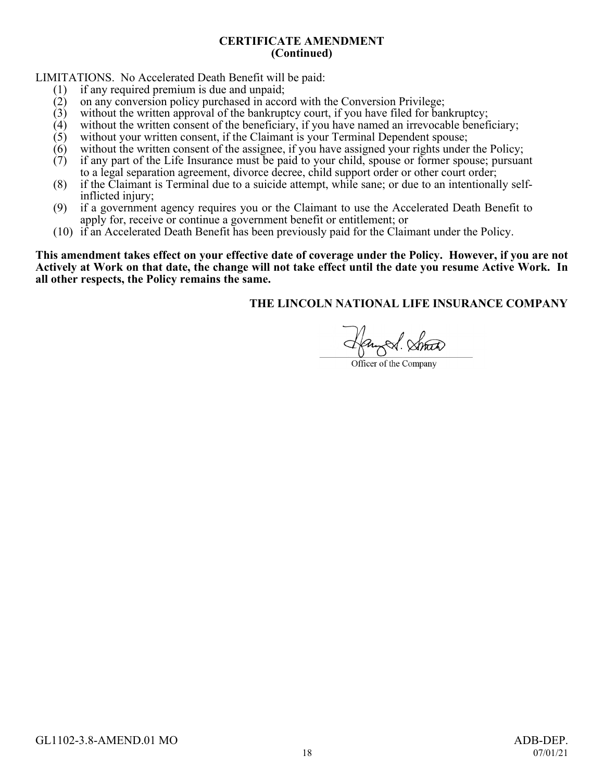### **CERTIFICATE AMENDMENT (Continued)**

LIMITATIONS. No Accelerated Death Benefit will be paid:<br>(1) if any required premium is due and unpaid:

- (1) if any required premium is due and unpaid;<br>(2) on any conversion policy purchased in acco
- (2) on any conversion policy purchased in accord with the Conversion Privilege;<br>(3) without the written approval of the bankruptcy court, if you have filed for bank
- $(3)$  without the written approval of the bankruptcy court, if you have filed for bankruptcy;<br>(4) without the written consent of the beneficiary, if you have named an irrevocable benef
- $(4)$  without the written consent of the beneficiary, if you have named an irrevocable beneficiary;<br>(5) without your written consent, if the Claimant is your Terminal Dependent spouse;
- $(5)$  without your written consent, if the Claimant is your Terminal Dependent spouse;<br>(6) without the written consent of the assignee, if you have assigned your rights under
- (6) without the written consent of the assignee, if you have assigned your rights under the Policy;<br>(7) if any part of the Life Insurance must be paid to your child, spouse or former spouse; pursuar
- if any part of the Life Insurance must be paid to your child, spouse or former spouse; pursuant to a legal separation agreement, divorce decree, child support order or other court order;
- (8) if the Claimant is Terminal due to a suicide attempt, while sane; or due to an intentionally selfinflicted injury;
- (9) if a government agency requires you or the Claimant to use the Accelerated Death Benefit to apply for, receive or continue a government benefit or entitlement; or
- (10) if an Accelerated Death Benefit has been previously paid for the Claimant under the Policy.

This amendment takes effect on your effective date of coverage under the Policy. However, if you are not Actively at Work on that date, the change will not take effect until the date you resume Active Work. In **all other respects, the Policy remains the same.**

augel. Strat

Officer of the Company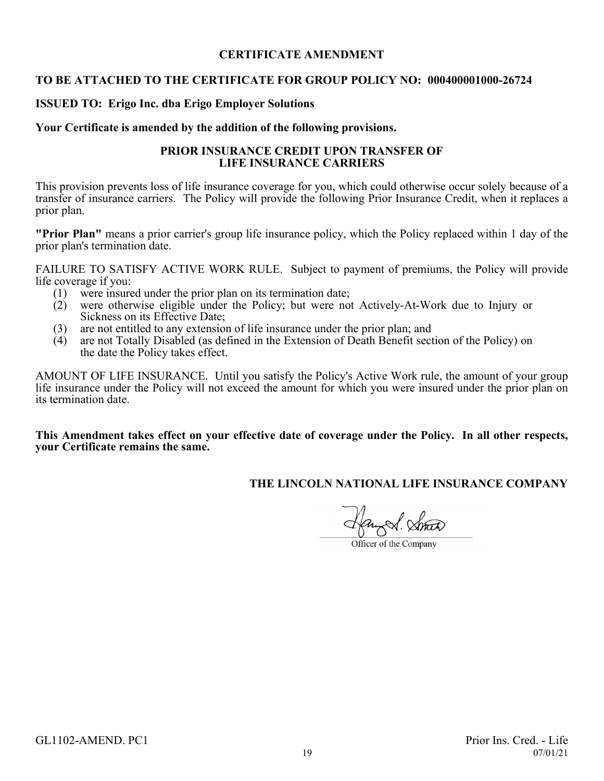## **CERTIFICATE AMENDMENT**

### <span id="page-22-0"></span>**TO BE ATTACHED TO THE CERTIFICATE FOR GROUP POLICY NO: 000400001000-26724**

### **ISSUED TO: Erigo Inc. dba Erigo Employer Solutions**

#### **Your Certificate is amended by the addition of the following provisions.**

#### **PRIOR INSURANCE CREDIT UPON TRANSFER OF LIFE INSURANCE CARRIERS**

This provision prevents loss of life insurance coverage for you, which could otherwise occur solely because of a transfer of insurance carriers. The Policy will provide the following Prior Insurance Credit, when it replaces a prior plan.

**"Prior Plan"** means a prior carrier's group life insurance policy, which the Policy replaced within 1 day of the prior plan's termination date.

FAILURE TO SATISFY ACTIVE WORK RULE. Subject to payment of premiums, the Policy will provide life coverage if you:<br>(1) were insure

- were insured under the prior plan on its termination date;
- (2) were otherwise eligible under the Policy; but were not Actively-At-Work due to Injury or Sickness on its Effective Date;
- (3) are not entitled to any extension of life insurance under the prior plan; and
- (4) are not Totally Disabled (as defined in the Extension of Death Benefit section of the Policy) on the date the Policy takes effect.

AMOUNT OF LIFE INSURANCE. Until you satisfy the Policy's Active Work rule, the amount of your group life insurance under the Policy will not exceed the amount for which you were insured under the prior plan on its termination date.

**This Amendment takes effect on your effective date of coverage under the Policy. In all other respects, your Certificate remains the same.**

Officer of the Company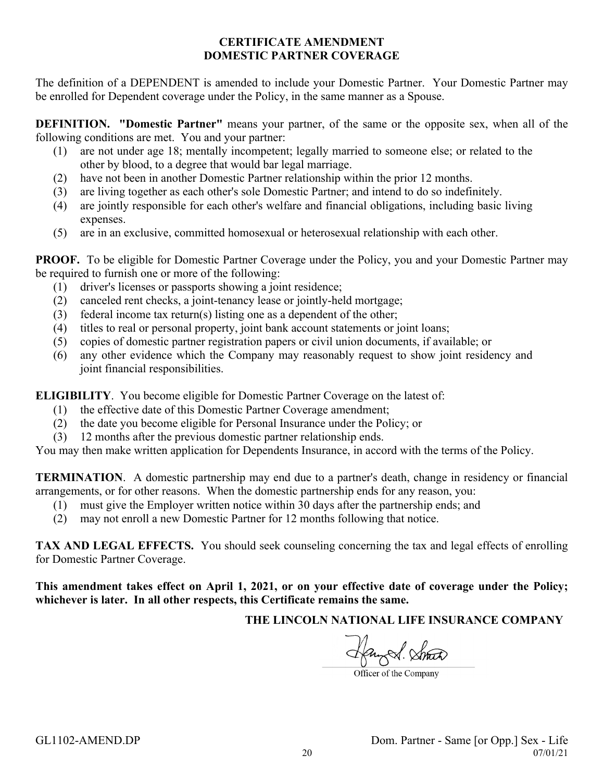## **CERTIFICATE AMENDMENT DOMESTIC PARTNER COVERAGE**

<span id="page-23-0"></span>The definition of a DEPENDENT is amended to include your Domestic Partner. Your Domestic Partner may be enrolled for Dependent coverage under the Policy, in the same manner as a Spouse.

**DEFINITION. "Domestic Partner"** means your partner, of the same or the opposite sex, when all of the following conditions are met. You and your partner:

- (1) are not under age 18; mentally incompetent; legally married to someone else; or related to the other by blood, to a degree that would bar legal marriage.
- (2) have not been in another Domestic Partner relationship within the prior 12 months.
- (3) are living together as each other's sole Domestic Partner; and intend to do so indefinitely.
- (4) are jointly responsible for each other's welfare and financial obligations, including basic living expenses.
- (5) are in an exclusive, committed homosexual or heterosexual relationship with each other.

**PROOF.** To be eligible for Domestic Partner Coverage under the Policy, you and your Domestic Partner may be required to furnish one or more of the following:

- (1) driver's licenses or passports showing a joint residence;
- (2) canceled rent checks, a joint-tenancy lease or jointly-held mortgage;
- (3) federal income tax return(s) listing one as a dependent of the other;
- (4) titles to real or personal property, joint bank account statements or joint loans;
- (5) copies of domestic partner registration papers or civil union documents, if available; or
- (6) any other evidence which the Company may reasonably request to show joint residency and joint financial responsibilities.

**ELIGIBILITY**. You become eligible for Domestic Partner Coverage on the latest of:

- (1) the effective date of this Domestic Partner Coverage amendment;
- (2) the date you become eligible for Personal Insurance under the Policy; or
- (3) 12 months after the previous domestic partner relationship ends.

You may then make written application for Dependents Insurance, in accord with the terms of the Policy.

**TERMINATION**. A domestic partnership may end due to a partner's death, change in residency or financial arrangements, or for other reasons. When the domestic partnership ends for any reason, you:

- (1) must give the Employer written notice within 30 days after the partnership ends; and
- (2) may not enroll a new Domestic Partner for 12 months following that notice.

**TAX AND LEGAL EFFECTS.** You should seek counseling concerning the tax and legal effects of enrolling for Domestic Partner Coverage.

This amendment takes effect on April 1, 2021, or on your effective date of coverage under the Policy; **whichever is later. In all other respects, this Certificate remains the same.**

Hangel Strat

Officer of the Company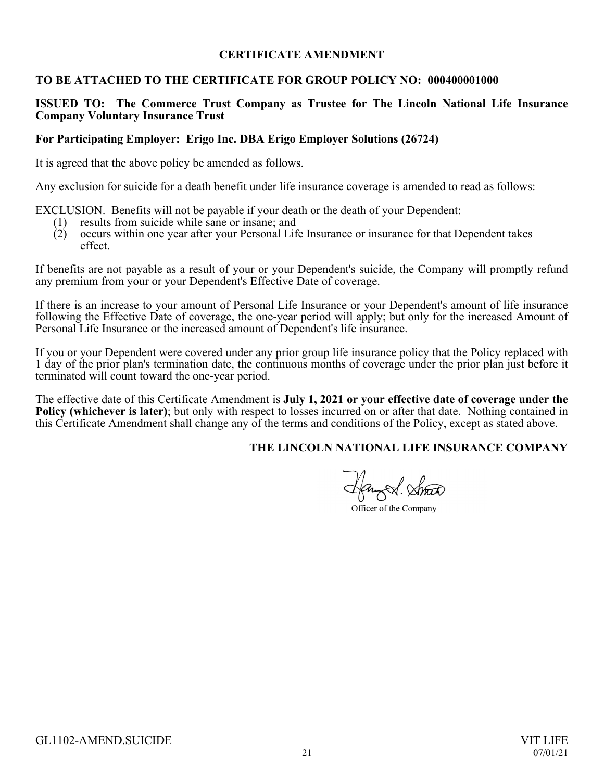## **CERTIFICATE AMENDMENT**

## <span id="page-24-0"></span>**TO BE ATTACHED TO THE CERTIFICATE FOR GROUP POLICY NO: 000400001000**

### **ISSUED TO: The Commerce Trust Company as Trustee for The Lincoln National Life Insurance Company Voluntary Insurance Trust**

#### **For Participating Employer: Erigo Inc. DBA Erigo Employer Solutions (26724)**

It is agreed that the above policy be amended as follows.

Any exclusion for suicide for a death benefit under life insurance coverage is amended to read as follows:

EXCLUSION. Benefits will not be payable if your death or the death of your Dependent:

- (1) results from suicide while sane or insane; and
- (2) occurs within one year after your Personal Life Insurance or insurance for that Dependent takes effect.

If benefits are not payable as a result of your or your Dependent's suicide, the Company will promptly refund any premium from your or your Dependent's Effective Date of coverage.

If there is an increase to your amount of Personal Life Insurance or your Dependent's amount of life insurance following the Effective Date of coverage, the one-year period will apply; but only for the increased Amount of Personal Life Insurance or the increased amount of Dependent's life insurance.

If you or your Dependent were covered under any prior group life insurance policy that the Policy replaced with 1 day of the prior plan's termination date, the continuous months of coverage under the prior plan just before it terminated will count toward the one-year period.

The effective date of this Certificate Amendment is **July 1, 2021 or your effective date of coverage under the Policy (whichever is later)**; but only with respect to losses incurred on or after that date. Nothing contained in this Certificate Amendment shall change any of the terms and conditions of the Policy, except as stated above.

Hanged. Strat

Officer of the Company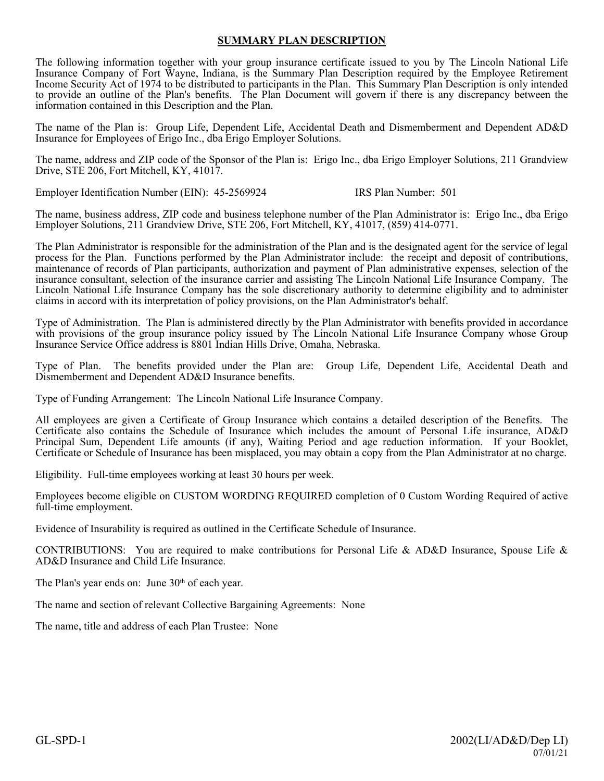#### **SUMMARY PLAN DESCRIPTION**

The following information together with your group insurance certificate issued to you by The Lincoln National Life Insurance Company of Fort Wayne, Indiana, is the Summary Plan Description required by the Employee Retirement Income Security Act of 1974 to be distributed to participants in the Plan. This Summary Plan Description is only intended to provide an outline of the Plan's benefits. The Plan Document will govern if there is any discrepancy between the information contained in this Description and the Plan.

The name of the Plan is: Group Life, Dependent Life, Accidental Death and Dismemberment and Dependent AD&D Insurance for Employees of Erigo Inc., dba Erigo Employer Solutions.

The name, address and ZIP code of the Sponsor of the Plan is: Erigo Inc., dba Erigo Employer Solutions, 211 Grandview Drive, STE 206, Fort Mitchell, KY, 41017.

Employer Identification Number (EIN): 45-2569924 IRS Plan Number: 501

The name, business address, ZIP code and business telephone number of the Plan Administrator is: Erigo Inc., dba Erigo Employer Solutions, 211 Grandview Drive, STE 206, Fort Mitchell, KY, 41017, (859) 414-0771.

The Plan Administrator is responsible for the administration of the Plan and is the designated agent for the service of legal process for the Plan. Functions performed by the Plan Administrator include: the receipt and deposit of contributions, maintenance of records of Plan participants, authorization and payment of Plan administrative expenses, selection of the insurance consultant, selection of the insurance carrier and assisting The Lincoln National Life Insurance Company. The Lincoln National Life Insurance Company has the sole discretionary authority to determine eligibility and to administer claims in accord with its interpretation of policy provisions, on the Plan Administrator's behalf.

Type of Administration. The Plan is administered directly by the Plan Administrator with benefits provided in accordance with provisions of the group insurance policy issued by The Lincoln National Life Insurance Company whose Group Insurance Service Office address is 8801 Indian Hills Drive, Omaha, Nebraska.

Type of Plan. The benefits provided under the Plan are: Group Life, Dependent Life, Accidental Death and Dismemberment and Dependent AD&D Insurance benefits.

Type of Funding Arrangement: The Lincoln National Life Insurance Company.

All employees are given a Certificate of Group Insurance which contains a detailed description of the Benefits. The Certificate also contains the Schedule of Insurance which includes the amount of Personal Life insurance, AD&D Principal Sum, Dependent Life amounts (if any), Waiting Period and age reduction information. If your Booklet, Certificate or Schedule of Insurance has been misplaced, you may obtain a copy from the Plan Administrator at no charge.

Eligibility. Full-time employees working at least 30 hours per week.

Employees become eligible on CUSTOM WORDING REQUIRED completion of 0 Custom Wording Required of active full-time employment.

Evidence of Insurability is required as outlined in the Certificate Schedule of Insurance.

CONTRIBUTIONS: You are required to make contributions for Personal Life & AD&D Insurance, Spouse Life & AD&D Insurance and Child Life Insurance.

The Plan's year ends on: June 30<sup>th</sup> of each year.

The name and section of relevant Collective Bargaining Agreements: None

The name, title and address of each Plan Trustee: None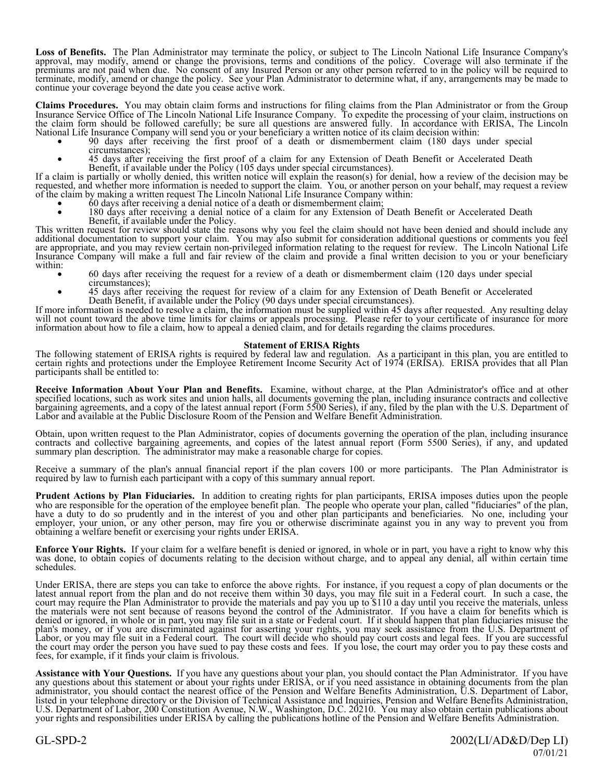**Loss of Benefits.** The Plan Administrator may terminate the policy, or subject to The Lincoln National Life Insurance Company's approval, may modify, amend or change the provisions, terms and conditions of the policy. Coverage will also terminate if the premiums are not paid when due. No consent of any Insured Person or any other person referred to in the policy will be required to terminate, modify, amend or change the policy. See your Plan Administrator to determine what, if any, arrangements may be made to continue your coverage beyond the date you cease active work.

**Claims Procedures.** You may obtain claim forms and instructions for filing claims from the Plan Administrator or from the Group Insurance Service Office of The Lincoln National Life Insurance Company. To expedite the processing of your claim, instructions on the claim form should be followed carefully; be sure all questions are answered fully. In accordance with ERISA, The Lincoln National Life Insurance Company will send you or your beneficiary a written notice of its claim decision within:

- · 90 days after receiving the first proof of a death or dismemberment claim (180 days under special circumstances);
- · 45 days after receiving the first proof of a claim for any Extension of Death Benefit or Accelerated Death Benefit, if available under the Policy (105 days under special circumstances).

If a claim is partially or wholly denied, this written notice will explain the reason(s) for denial, how a review of the decision may be requested, and whether more information is needed to support the claim. You, or another person on your behalf, may request a review of the claim by making a written request The Lincoln National Life Insurance Company within:

- · 60 days after receiving a denial notice of a death or dismemberment claim;
- 180 days after receiving a denial notice of a claim for any Extension of Death Benefit or Accelerated Death Benefit, if available under the Policy.

This written request for review should state the reasons why you feel the claim should not have been denied and should include any additional documentation to support your claim. You may also submit for consideration additional questions or comments you feel are appropriate, and you may review certain non-privileged information relating to the request for review. The Lincoln National Life Insurance Company will make a full and fair review of the claim and provide a final written decision to you or your beneficiary within:

- · 60 days after receiving the request for a review of a death or dismemberment claim (120 days under special circumstances);
- · 45 days after receiving the request for review of a claim for any Extension of Death Benefit or Accelerated Death Benefit, if available under the Policy (90 days under special circumstances).

If more information is needed to resolve a claim, the information must be supplied within 45 days after requested. Any resulting delay will not count toward the above time limits for claims or appeals processing. Please refer to your certificate of insurance for more information about how to file a claim, how to appeal a denied claim, and for details regarding the claims procedures.

#### **Statement of ERISA Rights**

The following statement of ERISA rights is required by federal law and regulation. As a participant in this plan, you are entitled to certain rights and protections under the Employee Retirement Income Security Act of 1974 (ERISA). ERISA provides that all Plan participants shall be entitled to:

**Receive Information About Your Plan and Benefits.** Examine, without charge, at the Plan Administrator's office and at other specified locations, such as work sites and union halls, all documents governing the plan, including insurance contracts and collective bargaining agreements, and a copy of the latest annual report (Form 5500 Series), if any, filed by the plan with the U.S. Department of Labor and available at the Public Disclosure Room of the Pension and Welfare Benefit Administration.

Obtain, upon written request to the Plan Administrator, copies of documents governing the operation of the plan, including insurance contracts and collective bargaining agreements, and copies of the latest annual report (Form 5500 Series), if any, and updated summary plan description. The administrator may make a reasonable charge for copies.

Receive a summary of the plan's annual financial report if the plan covers 100 or more participants. The Plan Administrator is required by law to furnish each participant with a copy of this summary annual report.

**Prudent Actions by Plan Fiduciaries.** In addition to creating rights for plan participants, ERISA imposes duties upon the people who are responsible for the operation of the employee benefit plan. The people who operate your plan, called "fiduciaries" of the plan, have a duty to do so prudently and in the interest of you and other plan participants and beneficiaries. No one, including your employer, your union, or any other person, may fire you or otherwise discriminate against you in any way to prevent you from obtaining a welfare benefit or exercising your rights under ERISA.

**Enforce Your Rights.** If your claim for a welfare benefit is denied or ignored, in whole or in part, you have a right to know why this was done, to obtain copies of documents relating to the decision without charge, and to appeal any denial, all within certain time schedules.

Under ERISA, there are steps you can take to enforce the above rights. For instance, if you request a copy of plan documents or the latest annual report from the plan and do not receive them within 30 days, you may file suit in a Federal court. In such a case, the court may require the Plan Administrator to provide the materials and pay you up to \$110 a day until you receive the materials, unless the materials were not sent because of reasons beyond the control of the Administrator. If you have a claim for benefits which is denied or ignored, in whole or in part, you may file suit in a state or Federal court. If it should happen that plan fiduciaries misuse the plan's money, or if you are discriminated against for asserting your rights, you may seek assistance from the U.S. Department of Labor, or you may file suit in a Federal court. The court will decide who should pay court costs and legal fees. If you are successful the court may order the person you have sued to pay these costs and fees. If you lose, the court may order you to pay these costs and fees, for example, if it finds your claim is frivolous.

**Assistance with Your Questions.** If you have any questions about your plan, you should contact the Plan Administrator. If you have any questions about this statement or about your rights under ERISA, or if you need assistance in obtaining documents from the plan administrator, you should contact the nearest office of the Pension and Welfare Benefits Administration, U.S. Department of Labor, listed in your telephone directory or the Division of Technical Assistance and Inquiries, Pension and Welfare Benefits Administration, U.S. Department of Labor, 200 Constitution Avenue, N.W., Washington, D.C. 20210. You may also obtain certain publications about your rights and responsibilities under ERISA by calling the publications hotline of the Pension and Welfare Benefits Administration.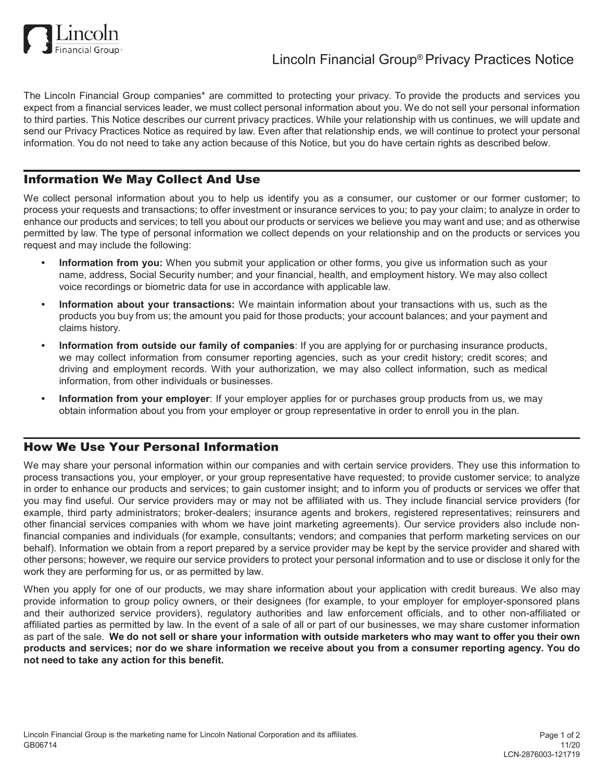

The Lincoln Financial Group companies\* are committed to protecting your privacy. To provide the products and services you expect from a financial services leader, we must collect personal information about you. We do not sell your personal information to third parties. This Notice describes our current privacy practices. While your relationship with us continues, we will update and send our Privacy Practices Notice as required by law. Even after that relationship ends, we will continue to protect your personal information. You do not need to take any action because of this Notice, but you do have certain rights as described below.

## Information We May Collect And Use

We collect personal information about you to help us identify you as a consumer, our customer or our former customer; to process your requests and transactions; to offer investment or insurance services to you; to pay your claim; to analyze in order to enhance our products and services; to tell you about our products or services we believe you may want and use; and as otherwise permitted by law. The type of personal information we collect depends on your relationship and on the products or services you request and may include the following:

- **• Information from you:** When you submit your application or other forms, you give us information such as your name, address, Social Security number; and your financial, health, and employment history. We may also collect voice recordings or biometric data for use in accordance with applicable law.
- **• Information about your transactions:** We maintain information about your transactions with us, such as the products you buy from us; the amount you paid for those products; your account balances; and your payment and claims history.
- **• Information from outside our family of companies**: If you are applying for or purchasing insurance products, we may collect information from consumer reporting agencies, such as your credit history; credit scores; and driving and employment records. With your authorization, we may also collect information, such as medical information, from other individuals or businesses.
- **• Information from your employer**: If your employer applies for or purchases group products from us, we may obtain information about you from your employer or group representative in order to enroll you in the plan.

## How We Use Your Personal Information

We may share your personal information within our companies and with certain service providers. They use this information to process transactions you, your employer, or your group representative have requested; to provide customer service; to analyze in order to enhance our products and services; to gain customer insight; and to inform you of products or services we offer that you may find useful. Our service providers may or may not be affiliated with us. They include financial service providers (for example, third party administrators; broker-dealers; insurance agents and brokers, registered representatives; reinsurers and other financial services companies with whom we have joint marketing agreements). Our service providers also include nonfinancial companies and individuals (for example, consultants; vendors; and companies that perform marketing services on our behalf). Information we obtain from a report prepared by a service provider may be kept by the service provider and shared with other persons; however, we require our service providers to protect your personal information and to use or disclose it only for the work they are performing for us, or as permitted by law.

When you apply for one of our products, we may share information about your application with credit bureaus. We also may provide information to group policy owners, or their designees (for example, to your employer for employer-sponsored plans and their authorized service providers), regulatory authorities and law enforcement officials, and to other non-affiliated or affiliated parties as permitted by law. In the event of a sale of all or part of our businesses, we may share customer information as part of the sale. We do not sell or share your information with outside marketers who may want to offer you their own products and services; nor do we share information we receive about you from a consumer reporting agency. You do **not need to take any action for this benefit.**